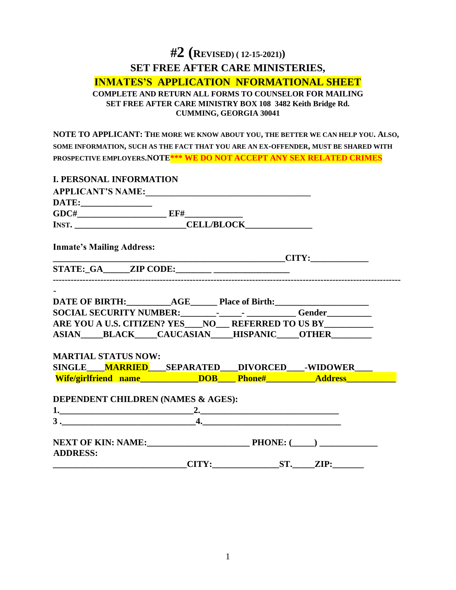# **#2 (REVISED) ( 12-15-2021)) SET FREE AFTER CARE MINISTERIES, INMATES'S APPLICATION NFORMATIONAL SHEET COMPLETE AND RETURN ALL FORMS TO COUNSELOR FOR MAILING SET FREE AFTER CARE MINISTRY BOX 108 3482 Keith Bridge Rd. CUMMING, GEORGIA 30041**

**NOTE TO APPLICANT: THE MORE WE KNOW ABOUT YOU, THE BETTER WE CAN HELP YOU. ALSO, SOME INFORMATION, SUCH AS THE FACT THAT YOU ARE AN EX-OFFENDER, MUST BE SHARED WITH PROSPECTIVE EMPLOYERS.NOTE\*\*\* WE DO NOT ACCEPT ANY SEX RELATED CRIMES** 

| <b>I. PERSONAL INFORMATION</b>                                                                                                  |  |                                                                                                                                                                                                                                      |
|---------------------------------------------------------------------------------------------------------------------------------|--|--------------------------------------------------------------------------------------------------------------------------------------------------------------------------------------------------------------------------------------|
| APPLICANT'S NAME:                                                                                                               |  |                                                                                                                                                                                                                                      |
|                                                                                                                                 |  |                                                                                                                                                                                                                                      |
| $GDC#$ EF#                                                                                                                      |  |                                                                                                                                                                                                                                      |
|                                                                                                                                 |  |                                                                                                                                                                                                                                      |
|                                                                                                                                 |  |                                                                                                                                                                                                                                      |
| <b>Inmate's Mailing Address:</b>                                                                                                |  |                                                                                                                                                                                                                                      |
|                                                                                                                                 |  | <u>CITY: CITY: CITY: CITY: CITY: CITY: CITY: CITY: CITY: CITY: CITY: CITY: CITY: CITY: CITY: CITY: CITY: CITY: CITY: CITY: CITY: CITY: CITY: CITY: CITY: CITY: CITY: CITY: CITY: CITY: CITY: CITY: CITY: CITY: CITY: CITY: CITY:</u> |
| $STATE:_GA$ ZIP CODE:                                                                                                           |  |                                                                                                                                                                                                                                      |
|                                                                                                                                 |  |                                                                                                                                                                                                                                      |
|                                                                                                                                 |  |                                                                                                                                                                                                                                      |
|                                                                                                                                 |  |                                                                                                                                                                                                                                      |
| ARE YOU A U.S. CITIZEN? YES NO REFERRED TO US BY                                                                                |  |                                                                                                                                                                                                                                      |
| ASIAN BLACK CAUCASIAN HISPANIC OTHER                                                                                            |  |                                                                                                                                                                                                                                      |
|                                                                                                                                 |  |                                                                                                                                                                                                                                      |
| <b>MARTIAL STATUS NOW:</b>                                                                                                      |  |                                                                                                                                                                                                                                      |
| SINGLE MARRIED SEPARATED DIVORCED WIDOWER                                                                                       |  |                                                                                                                                                                                                                                      |
| Wife/girlfriend name Number 2008 Mife/girlfriend name Mundows DOB Mundows Address Wife/girlfriend name Mundows DOB Mundows 2008 |  |                                                                                                                                                                                                                                      |
|                                                                                                                                 |  |                                                                                                                                                                                                                                      |
| DEPENDENT CHILDREN (NAMES & AGES):                                                                                              |  |                                                                                                                                                                                                                                      |
|                                                                                                                                 |  |                                                                                                                                                                                                                                      |
| $3.$ $4.$                                                                                                                       |  |                                                                                                                                                                                                                                      |
|                                                                                                                                 |  |                                                                                                                                                                                                                                      |
| <b>ADDRESS:</b>                                                                                                                 |  |                                                                                                                                                                                                                                      |
|                                                                                                                                 |  |                                                                                                                                                                                                                                      |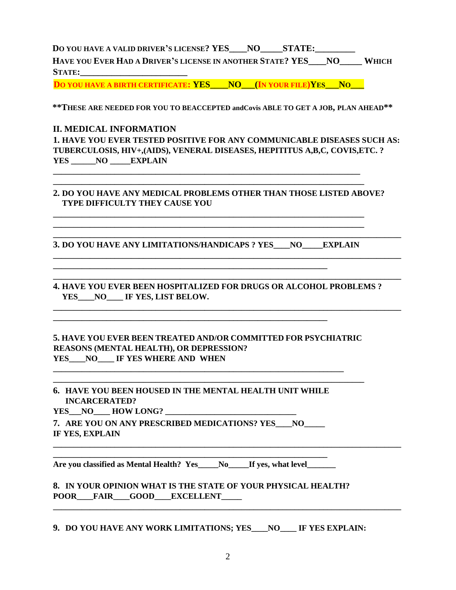**D**O YOU HAVE A VALID DRIVER'S LICENSE? YES \_\_\_NO\_\_\_\_\_\_STATE:

**HAVE YOU EVER HAD A DRIVER'S LICENSE IN ANOTHER STATE? YES\_\_\_\_NO\_\_\_\_\_ WHICH STATE:\_\_\_\_\_\_\_\_\_\_\_\_\_\_\_\_\_\_\_\_\_\_\_\_** 

**DO YOU HAVE A BIRTH CERTIFICATE: YES\_\_\_\_NO\_\_\_(IN YOUR FILE)YES\_\_\_NO\_\_\_**

**\*\*THESE ARE NEEDED FOR YOU TO BEACCEPTED andCovis ABLE TO GET A JOB, PLAN AHEAD\*\*** 

## **II. MEDICAL INFORMATION**

**1. HAVE YOU EVER TESTED POSITIVE FOR ANY COMMUNICABLE DISEASES SUCH AS: TUBERCULOSIS, HIV+,(AIDS), VENERAL DISEASES, HEPITITUS A,B,C, COVIS,ETC. ? YES \_\_\_\_\_\_NO \_\_\_\_\_EXPLAIN** 

#### **2. DO YOU HAVE ANY MEDICAL PROBLEMS OTHER THAN THOSE LISTED ABOVE? TYPE DIFFICULTY THEY CAUSE YOU**

**\_\_\_\_\_\_\_\_\_\_\_\_\_\_\_\_\_\_\_\_\_\_\_\_\_\_\_\_\_\_\_\_\_\_\_\_\_\_\_\_\_\_\_\_\_\_\_\_\_\_\_\_\_\_\_\_\_\_\_\_\_\_\_\_\_\_\_\_\_\_\_\_\_\_\_\_\_\_\_\_\_\_\_\_\_** 

**\_\_\_\_\_\_\_\_\_\_\_\_\_\_\_\_\_\_\_\_\_\_\_\_\_\_\_\_\_\_\_\_\_\_\_\_\_\_\_\_\_\_\_\_\_\_\_\_\_\_\_\_\_\_\_\_\_\_\_\_\_\_\_\_\_\_\_\_\_\_\_\_\_\_\_\_\_\_\_\_\_\_\_\_\_** 

**\_\_\_\_\_\_\_\_\_\_\_\_\_\_\_\_\_\_\_\_\_\_\_\_\_\_\_\_\_\_\_\_\_\_\_\_\_\_\_\_\_\_\_\_\_\_\_\_\_\_\_\_\_\_\_\_\_\_\_\_\_\_\_\_\_\_\_\_\_\_\_\_\_\_\_\_\_\_\_\_\_\_\_\_\_** 

**\_\_\_\_\_\_\_\_\_\_\_\_\_\_\_\_\_\_\_\_\_\_\_\_\_\_\_\_\_\_\_\_\_\_\_\_\_\_\_\_\_\_\_\_\_\_\_\_\_\_\_\_\_\_\_\_\_\_\_\_\_\_\_\_\_\_\_\_\_\_\_\_\_\_\_\_\_\_\_\_\_\_\_\_\_** 

**3. DO YOU HAVE ANY LIMITATIONS/HANDICAPS ? YES\_\_\_\_NO\_\_\_\_\_EXPLAIN** 

**\_\_\_\_\_\_\_\_\_\_\_\_\_\_\_\_\_\_\_\_\_\_\_\_\_\_\_\_\_\_\_\_\_\_\_\_\_\_\_\_\_\_\_\_\_\_\_\_\_\_\_\_\_\_\_\_\_\_\_\_\_\_\_\_\_\_\_** 

**\_\_\_\_\_\_\_\_\_\_\_\_\_\_\_\_\_\_\_\_\_\_\_\_\_\_\_\_\_\_\_\_\_\_\_\_\_\_\_\_\_\_\_\_\_\_\_\_\_\_\_\_\_\_\_\_\_\_\_\_\_\_\_\_\_\_\_** 

**\_\_\_\_\_\_\_\_\_\_\_\_\_\_\_\_\_\_\_\_\_\_\_\_\_\_\_\_\_\_\_\_\_\_\_\_\_\_\_\_\_\_\_\_\_\_\_\_\_\_\_\_\_\_\_\_\_\_\_\_\_\_\_\_\_\_\_\_\_\_\_\_\_\_\_\_ \_\_\_\_\_\_\_\_\_\_\_\_\_\_\_\_\_\_\_\_\_\_\_\_\_\_\_\_\_\_\_\_\_\_\_\_\_\_\_\_\_\_\_\_\_\_\_\_\_\_\_\_\_\_\_\_\_\_\_\_\_\_\_\_\_\_\_\_\_\_\_\_\_\_\_\_** 

**\_\_\_\_\_\_\_\_\_\_\_\_\_\_\_\_\_\_\_\_\_\_\_\_\_\_\_\_\_\_\_\_\_\_\_\_\_\_\_\_\_\_\_\_\_\_\_\_\_\_\_\_\_\_\_\_\_\_\_\_\_\_\_\_\_\_\_\_\_\_\_\_\_\_\_ \_\_\_\_\_\_\_\_\_\_\_\_\_\_\_\_\_\_\_\_\_\_\_\_\_\_\_\_\_\_\_\_\_\_\_\_\_\_\_\_\_\_\_\_\_\_\_\_\_\_\_\_\_\_\_\_\_\_\_\_\_\_\_\_\_\_\_\_\_\_\_\_\_\_\_\_** 

**4. HAVE YOU EVER BEEN HOSPITALIZED FOR DRUGS OR ALCOHOL PROBLEMS ?**  YES<br>NO IF YES, LIST BELOW.

#### **5. HAVE YOU EVER BEEN TREATED AND/OR COMMITTED FOR PSYCHIATRIC REASONS (MENTAL HEALTH), OR DEPRESSION?**  YES NO IF YES WHERE AND WHEN

**6. HAVE YOU BEEN HOUSED IN THE MENTAL HEALTH UNIT WHILE INCARCERATED?** 

**\_\_\_\_\_\_\_\_\_\_\_\_\_\_\_\_\_\_\_\_\_\_\_\_\_\_\_\_\_\_\_\_\_\_\_\_\_\_\_\_\_\_\_\_\_\_\_\_\_\_\_\_\_\_\_\_\_\_\_\_\_\_\_\_\_\_\_\_\_\_\_ \_\_\_\_\_\_\_\_\_\_\_\_\_\_\_\_\_\_\_\_\_\_\_\_\_\_\_\_\_\_\_\_\_\_\_\_\_\_\_\_\_\_\_\_\_\_\_\_\_\_\_\_\_\_\_\_\_\_\_\_\_\_\_\_\_\_\_\_\_\_\_\_\_\_\_\_** 

**YES\_\_\_NO\_\_\_\_ HOW LONG? \_\_\_\_\_\_\_\_\_\_\_\_\_\_\_\_\_\_\_\_\_\_\_\_\_\_\_\_\_\_\_\_** 

**7. ARE YOU ON ANY PRESCRIBED MEDICATIONS? YES\_\_\_\_NO\_\_\_\_\_ IF YES, EXPLAIN** 

**\_\_\_\_\_\_\_\_\_\_\_\_\_\_\_\_\_\_\_\_\_\_\_\_\_\_\_\_\_\_\_\_\_\_\_\_\_\_\_\_\_\_\_\_\_\_\_\_\_\_\_\_\_\_\_\_\_\_\_\_\_\_\_\_\_\_\_ Are you classified as Mental Health? Yes\_\_\_\_\_No\_\_\_\_\_If yes, what level\_\_\_\_\_\_\_**

## **8. IN YOUR OPINION WHAT IS THE STATE OF YOUR PHYSICAL HEALTH?**  POOR\_\_\_\_FAIR\_\_\_\_GOOD\_\_\_\_EXCELLENT

**9. DO YOU HAVE ANY WORK LIMITATIONS; YES\_\_\_\_NO\_\_\_\_ IF YES EXPLAIN:** 

**\_\_\_\_\_\_\_\_\_\_\_\_\_\_\_\_\_\_\_\_\_\_\_\_\_\_\_\_\_\_\_\_\_\_\_\_\_\_\_\_\_\_\_\_\_\_\_\_\_\_\_\_\_\_\_\_\_\_\_\_\_\_\_\_\_\_\_\_\_\_\_\_\_\_\_\_\_\_\_\_\_\_\_\_\_**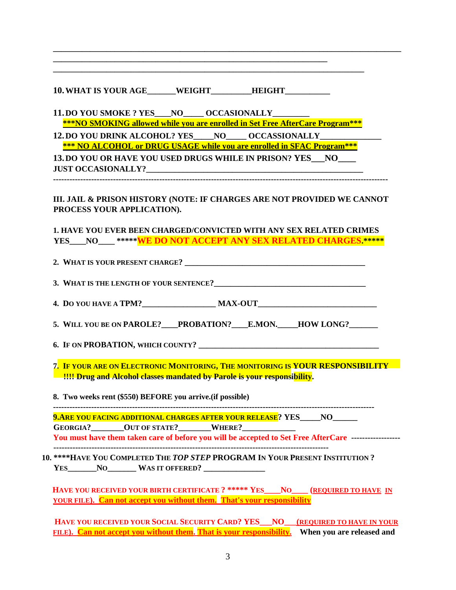| <b>10. WHAT IS YOUR AGE</b> | <b>WEIGHT</b> | <b>HEIGHT</b> |  |
|-----------------------------|---------------|---------------|--|
|-----------------------------|---------------|---------------|--|

**\_\_\_\_\_\_\_\_\_\_\_\_\_\_\_\_\_\_\_\_\_\_\_\_\_\_\_\_\_\_\_\_\_\_\_\_\_\_\_\_\_\_\_\_\_\_\_\_\_\_\_\_\_\_\_\_\_\_\_\_\_\_\_\_\_\_\_** 

**11.DO YOU SMOKE ? YES\_\_\_\_NO\_\_\_\_\_ OCCASIONALLY\_\_\_\_\_\_\_\_\_** 

 **\*\*\*NO SMOKING allowed while you are enrolled in Set Free AfterCare Program\*\*\*** 

**\_\_\_\_\_\_\_\_\_\_\_\_\_\_\_\_\_\_\_\_\_\_\_\_\_\_\_\_\_\_\_\_\_\_\_\_\_\_\_\_\_\_\_\_\_\_\_\_\_\_\_\_\_\_\_\_\_\_\_\_\_\_\_\_\_\_\_\_\_\_\_\_\_\_\_\_** 

**\_\_\_\_\_\_\_\_\_\_\_\_\_\_\_\_\_\_\_\_\_\_\_\_\_\_\_\_\_\_\_\_\_\_\_\_\_\_\_\_\_\_\_\_\_\_\_\_\_\_\_\_\_\_\_\_\_\_\_\_\_\_\_\_\_\_\_\_\_\_\_\_\_\_\_\_\_\_\_\_\_\_\_\_\_** 

12. DO YOU DRINK ALCOHOL? YES\_\_\_\_\_NO\_\_\_\_\_ OCCASSIONALLY\_  **\*\*\* NO ALCOHOL or DRUG USAGE while you are enrolled in SFAC Program\*\*\*** 

**13.DO YOU OR HAVE YOU USED DRUGS WHILE IN PRISON? YES\_\_\_NO\_\_\_\_**   ${\rm JUST}$  OCCASIONALLY?

**---------------------------------------------------------------------------------------------------------------------------** 

**III. JAIL & PRISON HISTORY (NOTE: IF CHARGES ARE NOT PROVIDED WE CANNOT PROCESS YOUR APPLICATION).** 

**1. HAVE YOU EVER BEEN CHARGED/CONVICTED WITH ANY SEX RELATED CRIMES YES\_\_\_\_NO\_\_\_\_ \*\*\*\*\*WE DO NOT ACCEPT ANY SEX RELATED CHARGES.\*\*\*\*\***

**2. WHAT IS YOUR PRESENT CHARGE? \_\_\_\_\_\_\_\_\_\_\_\_\_\_\_\_\_\_\_\_\_\_\_\_\_\_\_\_\_\_\_\_\_\_\_\_\_\_\_\_\_\_\_\_ 3. WHAT IS THE LENGTH OF YOUR SENTENCE?\_\_\_\_\_\_\_\_\_\_\_\_\_\_\_\_\_\_\_\_\_\_\_\_\_\_\_\_\_\_\_\_\_\_\_\_\_** 

**4. D**O YOU HAVE A **TPM? MAX-OUT** 

5. WILL YOU BE ON PAROLE? PROBATION? E.MON. HOW LONG?

**6. IF ON PROBATION, WHICH COUNTY? \_\_\_\_\_\_\_\_\_\_\_\_\_\_\_\_\_\_\_\_\_\_\_\_\_\_\_\_\_\_\_\_\_\_\_\_\_\_\_\_\_\_\_\_** 

**7. IF YOUR ARE ON ELECTRONIC MONITORING, THE MONITORING IS YOUR RESPONSIBILITY 11!!! Drug and Alcohol classes mandated by Parole is your responsibility.** 

**8. Two weeks rent (\$550) BEFORE you arrive.(if possible)** 

**----------------------------------------------------------------------------------------------------------------------** 

**9.ARE YOU FACING ADDITIONAL CHARGES AFTER YOUR RELEASE? YES\_\_\_\_\_NO\_\_\_\_\_\_** 

**GEORGIA?\_\_\_\_\_\_\_\_OUT OF STATE?\_\_\_\_\_\_\_\_WHERE?\_\_\_\_\_\_\_\_\_\_\_\_\_** 

**You must have them taken care of before you will be accepted to Set Free AfterCare ------------------ -----------------------------------------------------------------------------------------------------** 

**10. \*\*\*\*HAVE YOU COMPLETED THE** *TOP STEP* **PROGRAM IN YOUR PRESENT INSTITUTION ? YES\_\_\_\_\_\_\_NO\_\_\_\_\_\_\_ WAS IT OFFERED? \_\_\_\_\_\_\_\_\_\_\_\_\_\_\_** 

**HAVE YOU RECEIVED YOUR BIRTH CERTIFICATE ? \*\*\*\*\* YES\_\_\_\_NO\_\_\_\_ (REQUIRED TO HAVE IN YOUR FILE). Can not accept you without them. That's your responsibility**

**HAVE YOU RECEIVED YOUR SOCIAL SECURITY CARD? YES\_\_\_NO\_\_\_(REQUIRED TO HAVE IN YOUR FILE). Can not accept you without them. That is your responsibility. When you are released and**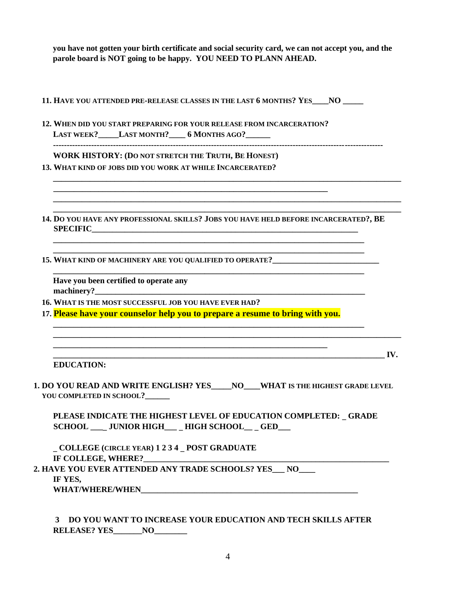**you have not gotten your birth certificate and social security card, we can not accept you, and the parole board is NOT going to be happy. YOU NEED TO PLANN AHEAD.** 

- **11. HAVE YOU ATTENDED PRE-RELEASE CLASSES IN THE LAST 6 MONTHS? YES\_\_\_\_NO \_\_\_\_\_**
- **12. WHEN DID YOU START PREPARING FOR YOUR RELEASE FROM INCARCERATION? LAST WEEK?\_\_\_\_\_LAST MONTH?\_\_\_\_ 6 MONTHS AGO?\_\_\_\_\_\_**

**\_\_\_\_\_\_\_\_\_\_\_\_\_\_\_\_\_\_\_\_\_\_\_\_\_\_\_\_\_\_\_\_\_\_\_\_\_\_\_\_\_\_\_\_\_\_\_\_\_\_\_\_\_\_\_\_\_\_\_\_\_\_\_\_\_\_\_** 

**-------------------------------------------------------------------------------------------------------------------------** 

**\_\_\_\_\_\_\_\_\_\_\_\_\_\_\_\_\_\_\_\_\_\_\_\_\_\_\_\_\_\_\_\_\_\_\_\_\_\_\_\_\_\_\_\_\_\_\_\_\_\_\_\_\_\_\_\_\_\_\_\_\_\_\_\_\_\_\_\_\_\_\_\_\_\_\_\_\_\_\_\_\_\_\_\_\_** 

**\_\_\_\_\_\_\_\_\_\_\_\_\_\_\_\_\_\_\_\_\_\_\_\_\_\_\_\_\_\_\_\_\_\_\_\_\_\_\_\_\_\_\_\_\_\_\_\_\_\_\_\_\_\_\_\_\_\_\_\_\_\_\_\_\_\_\_\_\_\_\_\_\_\_\_\_\_\_\_\_\_\_\_\_\_ \_\_\_\_\_\_\_\_\_\_\_\_\_\_\_\_\_\_\_\_\_\_\_\_\_\_\_\_\_\_\_\_\_\_\_\_\_\_\_\_\_\_\_\_\_\_\_\_\_\_\_\_\_\_\_\_\_\_\_\_\_\_\_\_\_\_\_\_\_\_\_\_\_\_\_\_\_\_\_\_\_\_\_\_\_** 

**WORK HISTORY: (DO NOT STRETCH THE TRUTH, BE HONEST)** 

**13. WHAT KIND OF JOBS DID YOU WORK AT WHILE INCARCERATED?** 

**14. DO YOU HAVE ANY PROFESSIONAL SKILLS? JOBS YOU HAVE HELD BEFORE INCARCERATED?, BE SPECIFIC\_\_\_\_\_\_\_\_\_\_\_\_\_\_\_\_\_\_\_\_\_\_\_\_\_\_\_\_\_\_\_\_\_\_\_\_\_\_\_\_\_\_\_\_\_\_\_\_\_\_\_\_\_\_\_\_\_\_\_\_\_\_\_\_\_** 

**\_\_\_\_\_\_\_\_\_\_\_\_\_\_\_\_\_\_\_\_\_\_\_\_\_\_\_\_\_\_\_\_\_\_\_\_\_\_\_\_\_\_\_\_\_\_\_\_\_\_\_\_\_\_\_\_\_\_\_\_\_\_\_\_\_\_\_\_\_\_\_\_\_\_\_\_ \_\_\_\_\_\_\_\_\_\_\_\_\_\_\_\_\_\_\_\_\_\_\_\_\_\_\_\_\_\_\_\_\_\_\_\_\_\_\_\_\_\_\_\_\_\_\_\_\_\_\_\_\_\_\_\_\_\_\_\_\_\_\_\_\_\_\_\_\_\_\_\_\_\_\_\_** 

**\_\_\_\_\_\_\_\_\_\_\_\_\_\_\_\_\_\_\_\_\_\_\_\_\_\_\_\_\_\_\_\_\_\_\_\_\_\_\_\_\_\_\_\_\_\_\_\_\_\_\_\_\_\_\_\_\_\_\_\_\_\_\_\_\_\_\_\_\_\_\_\_\_\_\_\_** 

**\_\_\_\_\_\_\_\_\_\_\_\_\_\_\_\_\_\_\_\_\_\_\_\_\_\_\_\_\_\_\_\_\_\_\_\_\_\_\_\_\_\_\_\_\_\_\_\_\_\_\_\_\_\_\_\_\_\_\_\_\_\_\_\_\_\_\_\_\_\_\_\_\_\_\_\_** 

**\_\_\_\_\_\_\_\_\_\_\_\_\_\_\_\_\_\_\_\_\_\_\_\_\_\_\_\_\_\_\_\_\_\_\_\_\_\_\_\_\_\_\_\_\_\_\_\_\_\_\_\_\_\_\_\_\_\_\_\_\_\_\_\_\_\_\_\_\_\_\_\_\_\_\_\_\_\_\_\_\_\_\_\_\_** 

**15. WHAT KIND OF MACHINERY ARE YOU QUALIFIED TO OPERATE?\_\_\_\_\_\_\_\_\_\_\_\_\_\_\_\_\_\_\_\_\_\_\_\_\_\_** 

**Have you been certified to operate any**  machinery?

**16. WHAT IS THE MOST SUCCESSFUL JOB YOU HAVE EVER HAD?** 

**17. Please have your counselor help you to prepare a resume to bring with you.**

**\_\_\_\_\_\_\_\_\_\_\_\_\_\_\_\_\_\_\_\_\_\_\_\_\_\_\_\_\_\_\_\_\_\_\_\_\_\_\_\_\_\_\_\_\_\_\_\_\_\_\_\_\_\_\_\_\_\_\_\_\_\_\_\_\_\_\_** 

 $\mathbf{IV}_{\boldsymbol{\cdot}}$ 

**EDUCATION:** 

**1. DO YOU READ AND WRITE ENGLISH? YES\_\_\_\_\_NO\_\_\_\_WHAT IS THE HIGHEST GRADE LEVEL YOU COMPLETED IN SCHOOL?\_\_\_\_\_\_** 

**PLEASE INDICATE THE HIGHEST LEVEL OF EDUCATION COMPLETED:** \_ **GRADE SCHOOL \_\_\_**\_ **JUNIOR HIGH\_\_\_** \_ **HIGH SCHOOL\_\_** \_ **GED\_\_\_** 

\_ **COLLEGE (CIRCLE YEAR) 1 2 3 4** \_ **POST GRADUATE IF COLLEGE, WHERE?\_\_\_\_\_\_\_\_\_\_\_\_\_\_\_\_\_\_\_\_\_\_\_\_\_\_\_\_\_\_\_\_\_\_\_\_\_\_\_\_\_\_\_\_\_\_\_\_\_\_\_\_\_\_\_\_\_\_\_\_ 2. HAVE YOU EVER ATTENDED ANY TRADE SCHOOLS? YES\_\_\_ NO\_\_\_\_ IF YES, WHAT/WHERE/WHEN\_\_\_\_\_\_\_\_\_\_\_\_\_\_\_\_\_\_\_\_\_\_\_\_\_\_\_\_\_\_\_\_\_\_\_\_\_\_\_\_\_\_\_\_\_\_\_\_\_\_\_\_\_** 

**3 DO YOU WANT TO INCREASE YOUR EDUCATION AND TECH SKILLS AFTER RELEASE? YES\_\_\_\_\_\_\_NO\_\_\_\_\_\_\_\_**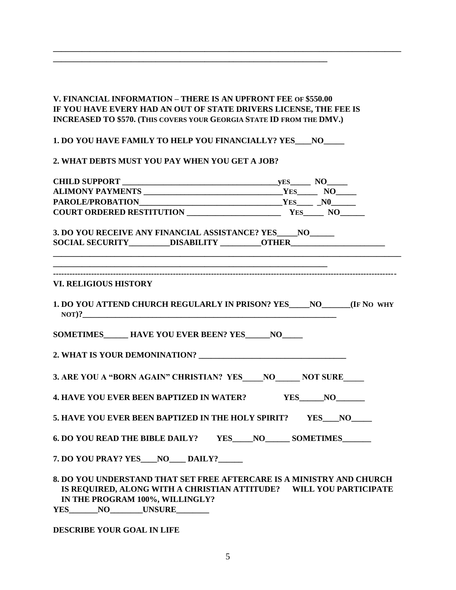## **V. FINANCIAL INFORMATION – THERE IS AN UPFRONT FEE OF \$550.00 IF YOU HAVE EVERY HAD AN OUT OF STATE DRIVERS LICENSE, THE FEE IS INCREASED TO \$570. (THIS COVERS YOUR GEORGIA STATE ID FROM THE DMV.)**

**\_\_\_\_\_\_\_\_\_\_\_\_\_\_\_\_\_\_\_\_\_\_\_\_\_\_\_\_\_\_\_\_\_\_\_\_\_\_\_\_\_\_\_\_\_\_\_\_\_\_\_\_\_\_\_\_\_\_\_\_\_\_\_\_\_\_\_\_\_\_\_\_\_\_\_\_\_\_\_\_\_\_\_\_\_** 

**1. DO YOU HAVE FAMILY TO HELP YOU FINANCIALLY? YES\_\_\_\_NO\_\_\_\_\_** 

**\_\_\_\_\_\_\_\_\_\_\_\_\_\_\_\_\_\_\_\_\_\_\_\_\_\_\_\_\_\_\_\_\_\_\_\_\_\_\_\_\_\_\_\_\_\_\_\_\_\_\_\_\_\_\_\_\_\_\_\_\_\_\_\_\_\_\_** 

#### **2. WHAT DEBTS MUST YOU PAY WHEN YOU GET A JOB?**

| 3. DO YOU RECEIVE ANY FINANCIAL ASSISTANCE? YES____NO_____<br>SOCIAL SECURITY__________DISABILITY __________OTHER______________________________    |  |
|----------------------------------------------------------------------------------------------------------------------------------------------------|--|
|                                                                                                                                                    |  |
| <u> 2000 - 2000 - 2000 - 2000 - 2000 - 2000 - 2000 - 2000 - 2000 - 2000 - 2000 - 2000 - 2000 - 2000 - 2000 - 200</u>                               |  |
| <b>VI. RELIGIOUS HISTORY</b>                                                                                                                       |  |
| 1. DO YOU ATTEND CHURCH REGULARLY IN PRISON? YES NO (IF NO WHY<br>$NOT)$ ?                                                                         |  |
| SOMETIMES ______ HAVE YOU EVER BEEN? YES _____ NO_____                                                                                             |  |
|                                                                                                                                                    |  |
| 3. ARE YOU A "BORN AGAIN" CHRISTIAN? YES NO NOT SURE                                                                                               |  |
| 4. HAVE YOU EVER BEEN BAPTIZED IN WATER? YES_____NO_______                                                                                         |  |
| 5. HAVE YOU EVER BEEN BAPTIZED IN THE HOLY SPIRIT? YES NO                                                                                          |  |
| 6. DO YOU READ THE BIBLE DAILY? YES NO SOMETIMES                                                                                                   |  |
| 7. DO YOU PRAY? YES NO DAILY?                                                                                                                      |  |
| 8. DO YOU UNDERSTAND THAT SET FREE AFTERCARE IS A MINISTRY AND CHURCH<br><b>IS REQUIRED AT ONC WITH A CHRISTIAN ATTITUDE?</b> WILL VOU PARTICIPATE |  |

**IS REQUIRED, ALONG WITH A CHRISTIAN ATTITUDE? WILL YOU PARTICIPATE IN THE PROGRAM 100%, WILLINGLY? YES\_\_\_\_\_\_\_NO\_\_\_\_\_\_\_\_UNSURE\_\_\_\_\_\_\_\_** 

#### **DESCRIBE YOUR GOAL IN LIFE**